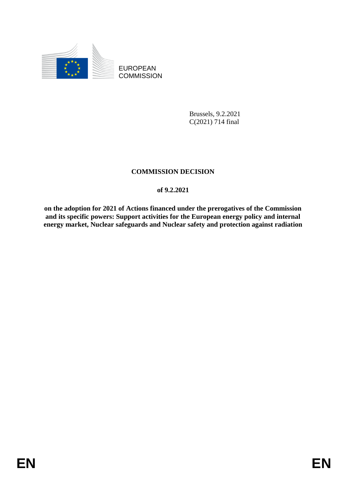

EUROPEAN **COMMISSION** 

> Brussels, 9.2.2021 C(2021) 714 final

# **COMMISSION DECISION**

# **of 9.2.2021**

**on the adoption for 2021 of Actions financed under the prerogatives of the Commission and its specific powers: Support activities for the European energy policy and internal energy market, Nuclear safeguards and Nuclear safety and protection against radiation**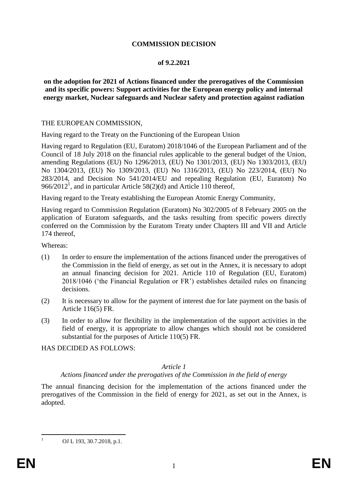## **COMMISSION DECISION**

## **of 9.2.2021**

**on the adoption for 2021 of Actions financed under the prerogatives of the Commission and its specific powers: Support activities for the European energy policy and internal energy market, Nuclear safeguards and Nuclear safety and protection against radiation**

#### THE EUROPEAN COMMISSION,

Having regard to the Treaty on the Functioning of the European Union

Having regard to Regulation (EU, Euratom) 2018/1046 of the European Parliament and of the Council of 18 July 2018 on the financial rules applicable to the general budget of the Union, amending Regulations (EU) No 1296/2013, (EU) No 1301/2013, (EU) No 1303/2013, (EU) No 1304/2013, (EU) No 1309/2013, (EU) No 1316/2013, (EU) No 223/2014, (EU) No 283/2014, and Decision No 541/2014/EU and repealing Regulation (EU, Euratom) No 966/2012<sup>1</sup>, and in particular Article 58(2)(d) and Article 110 thereof,

Having regard to the Treaty establishing the European Atomic Energy Community,

Having regard to Commission Regulation (Euratom) No 302/2005 of 8 February 2005 on the application of Euratom safeguards, and the tasks resulting from specific powers directly conferred on the Commission by the Euratom Treaty under Chapters III and VII and Article 174 thereof,

Whereas:

- (1) In order to ensure the implementation of the actions financed under the prerogatives of the Commission in the field of energy, as set out in the Annex, it is necessary to adopt an annual financing decision for 2021. Article 110 of Regulation (EU, Euratom) 2018/1046 ('the Financial Regulation or FR') establishes detailed rules on financing decisions.
- (2) It is necessary to allow for the payment of interest due for late payment on the basis of Article 116(5) FR.
- (3) In order to allow for flexibility in the implementation of the support activities in the field of energy, it is appropriate to allow changes which should not be considered substantial for the purposes of Article 110(5) FR.

HAS DECIDED AS FOLLOWS:

# *Article 1*

## *Actions financed under the prerogatives of the Commission in the field of energy*

The annual financing decision for the implementation of the actions financed under the prerogatives of the Commission in the field of energy for 2021, as set out in the Annex, is adopted.

OJ L 193, 30.7.2018, p.1.

 $\mathbf{1}$